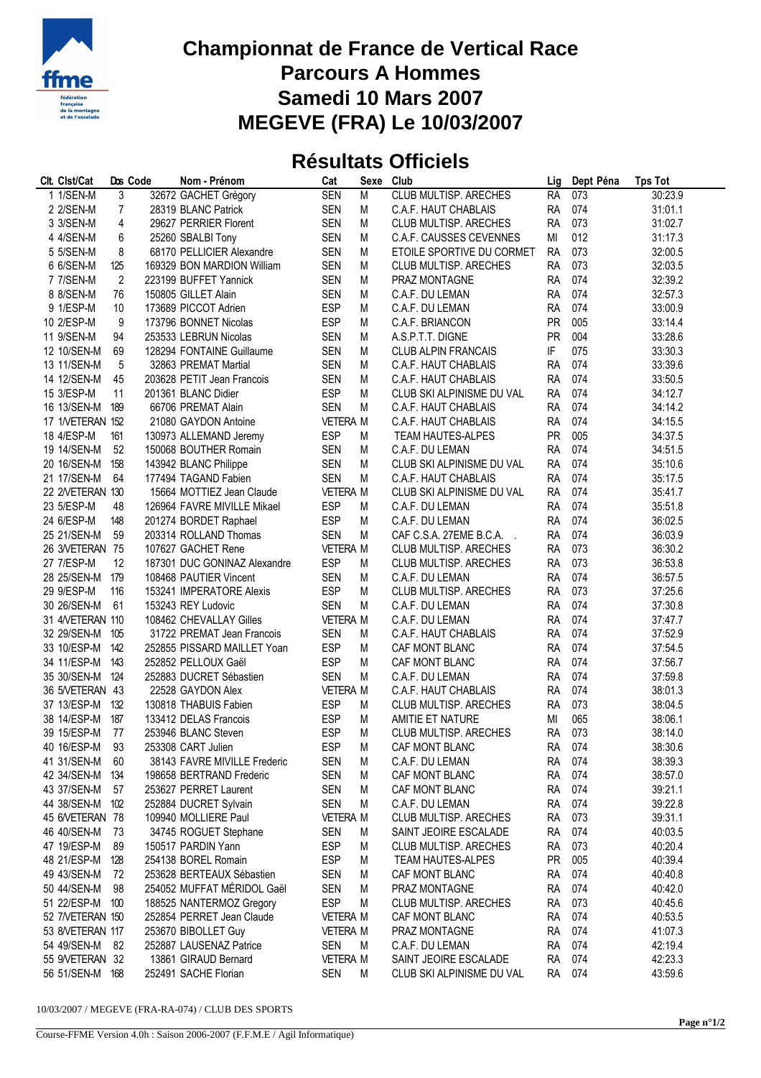

## **Championnat de France de Vertical Race Parcours A Hommes Samedi 10 Mars 2007 MEGEVE (FRA) Le 10/03/2007**

## **Résultats Officiels**

| Clt. Clst/Cat                     |                | Dos Code | Nom - Prénom                                 | Cat                           | Sexe   | Club                         | Lig                    | Dept Péna  | <b>Tps Tot</b>     |
|-----------------------------------|----------------|----------|----------------------------------------------|-------------------------------|--------|------------------------------|------------------------|------------|--------------------|
| 1 1/SEN-M                         | 3              |          | 32672 GACHET Grégory                         | <b>SEN</b>                    | M      | <b>CLUB MULTISP. ARECHES</b> | <b>RA</b>              | 073        | 30:23.9            |
| 2 2/SEN-M                         | $\overline{7}$ |          | 28319 BLANC Patrick                          | <b>SEN</b>                    | M      | C.A.F. HAUT CHABLAIS         | <b>RA</b>              | 074        | 31:01.1            |
| 3 3/SEN-M                         | 4              |          | 29627 PERRIER Florent                        | <b>SEN</b>                    | M      | CLUB MULTISP. ARECHES        | <b>RA</b>              | 073        | 31:02.7            |
| 4 4/SEN-M                         | 6              |          | 25260 SBALBI Tony                            | <b>SEN</b>                    | M      | C.A.F. CAUSSES CEVENNES      | MI                     | 012        | 31:17.3            |
| 5 5/SEN-M                         | 8              |          | 68170 PELLICIER Alexandre                    | <b>SEN</b>                    | M      | ETOILE SPORTIVE DU CORMET    | <b>RA</b>              | 073        | 32:00.5            |
| 6 6/SEN-M                         | 125            |          | 169329 BON MARDION William                   | <b>SEN</b>                    | M      | CLUB MULTISP. ARECHES        | <b>RA</b>              | 073        | 32:03.5            |
| 7 7/SEN-M                         | 2              |          | 223199 BUFFET Yannick                        | <b>SEN</b>                    | M      | PRAZ MONTAGNE                | <b>RA</b>              | 074        | 32:39.2            |
| 8 8/SEN-M                         | 76             |          | 150805 GILLET Alain                          | <b>SEN</b>                    | M      | C.A.F. DU LEMAN              | <b>RA</b>              | 074        | 32:57.3            |
| 9 1/ESP-M                         | 10             |          | 173689 PICCOT Adrien                         | <b>ESP</b>                    | M      | C.A.F. DU LEMAN              | <b>RA</b>              | 074        | 33:00.9            |
| 10 2/ESP-M                        | 9              |          | 173796 BONNET Nicolas                        | <b>ESP</b>                    | M      | C.A.F. BRIANCON              | <b>PR</b>              | 005        | 33:14.4            |
| 11 9/SEN-M                        | 94             |          | 253533 LEBRUN Nicolas                        | <b>SEN</b>                    | M      | A.S.P.T.T. DIGNE             | <b>PR</b>              | 004        | 33:28.6            |
| 12 10/SEN-M                       | 69             |          | 128294 FONTAINE Guillaume                    | <b>SEN</b>                    | M      | <b>CLUB ALPIN FRANCAIS</b>   | IF                     | 075        | 33:30.3            |
| 13 11/SEN-M                       | 5              |          | 32863 PREMAT Martial                         | <b>SEN</b>                    | M      | C.A.F. HAUT CHABLAIS         | <b>RA</b>              | 074        | 33:39.6            |
| 14 12/SEN-M                       | 45             |          | 203628 PETIT Jean Francois                   | <b>SEN</b>                    | M      | C.A.F. HAUT CHABLAIS         | <b>RA</b>              | 074        | 33:50.5            |
| 15 3/ESP-M                        | 11             |          | 201361 BLANC Didier                          | <b>ESP</b>                    | M      | CLUB SKI ALPINISME DU VAL    | <b>RA</b>              | 074        | 34:12.7            |
| 16 13/SEN-M 189                   |                |          | 66706 PREMAT Alain                           | <b>SEN</b>                    | М      | C.A.F. HAUT CHABLAIS         | <b>RA</b>              | 074        | 34:14.2            |
| 17 1/VETERAN 152                  |                |          | 21080 GAYDON Antoine                         | <b>VETERA M</b>               |        | C.A.F. HAUT CHABLAIS         | <b>RA</b>              | 074        | 34:15.5            |
| 18 4/ESP-M                        | 161            |          | 130973 ALLEMAND Jeremy                       | <b>ESP</b>                    | M      | <b>TEAM HAUTES-ALPES</b>     | <b>PR</b>              | 005        | 34:37.5            |
| 19 14/SEN-M                       | 52             |          | 150068 BOUTHER Romain                        | <b>SEN</b>                    | M      | C.A.F. DU LEMAN              | <b>RA</b>              | 074        | 34:51.5            |
| 20 16/SEN-M                       | 158            |          | 143942 BLANC Philippe                        | <b>SEN</b>                    | M      | CLUB SKI ALPINISME DU VAL    | <b>RA</b>              | 074        | 35:10.6            |
| 21 17/SEN-M                       | 64             |          | 177494 TAGAND Fabien                         | <b>SEN</b>                    | M      | C.A.F. HAUT CHABLAIS         | <b>RA</b>              | 074        | 35:17.5            |
| 22 2NETERAN 130                   |                |          | 15664 MOTTIEZ Jean Claude                    | <b>VETERA M</b>               |        | CLUB SKI ALPINISME DU VAL    | <b>RA</b>              | 074        | 35:41.7            |
| 23 5/ESP-M                        | 48             |          | 126964 FAVRE MIVILLE Mikael                  | <b>ESP</b>                    | M      | C.A.F. DU LEMAN              | <b>RA</b>              | 074        | 35:51.8            |
| 24 6/ESP-M                        | 148            |          | 201274 BORDET Raphael                        | <b>ESP</b>                    | M      | C.A.F. DU LEMAN              | <b>RA</b>              | 074        | 36:02.5            |
| 25 21/SEN-M                       | 59             |          | 203314 ROLLAND Thomas                        | <b>SEN</b>                    | M      | CAF C.S.A. 27EME B.C.A.      | <b>RA</b>              | 074        | 36:03.9            |
| 26 3NETERAN 75                    |                |          | 107627 GACHET Rene                           | <b>VETERA M</b>               |        | CLUB MULTISP. ARECHES        | <b>RA</b>              | 073        | 36:30.2            |
| 27 7/ESP-M                        | 12             |          | 187301 DUC GONINAZ Alexandre                 | <b>ESP</b>                    | M      | CLUB MULTISP. ARECHES        | <b>RA</b>              | 073        | 36:53.8            |
| 28 25/SEN-M 179                   |                |          | 108468 PAUTIER Vincent                       | <b>SEN</b>                    | M      | C.A.F. DU LEMAN              | <b>RA</b>              | 074        | 36:57.5            |
| 29 9/ESP-M                        | 116            |          | 153241 IMPERATORE Alexis                     | <b>ESP</b>                    | M      | CLUB MULTISP. ARECHES        | <b>RA</b>              | 073        | 37:25.6            |
| 30 26/SEN-M                       | 61             |          | 153243 REY Ludovic                           | <b>SEN</b>                    | M      | C.A.F. DU LEMAN              | <b>RA</b>              | 074        | 37:30.8            |
| 31 4/VETERAN 110                  |                |          | 108462 CHEVALLAY Gilles                      | <b>VETERA M</b>               |        | C.A.F. DU LEMAN              | <b>RA</b>              | 074        | 37:47.7            |
| 32 29/SEN-M                       | 105            |          | 31722 PREMAT Jean Francois                   | <b>SEN</b>                    | M      | C.A.F. HAUT CHABLAIS         | <b>RA</b>              | 074        | 37:52.9            |
|                                   |                |          |                                              |                               |        |                              |                        |            |                    |
| 33 10/ESP-M                       | 142            |          | 252855 PISSARD MAILLET Yoan                  | <b>ESP</b>                    | M      | CAF MONT BLANC               | <b>RA</b>              | 074<br>074 | 37:54.5            |
| 34 11/ESP-M                       | 143            |          | 252852 PELLOUX Gaël                          | <b>ESP</b>                    | M<br>M | CAF MONT BLANC               | <b>RA</b>              | 074        | 37:56.7            |
| 35 30/SEN-M 124<br>36 5NETERAN 43 |                |          | 252883 DUCRET Sébastien<br>22528 GAYDON Alex | <b>SEN</b><br><b>VETERA M</b> |        | C.A.F. DU LEMAN              | <b>RA</b><br><b>RA</b> | 074        | 37:59.8<br>38:01.3 |
|                                   |                |          |                                              |                               |        | C.A.F. HAUT CHABLAIS         |                        |            |                    |
| 37 13/ESP-M<br>38 14/ESP-M        | 132            |          | 130818 THABUIS Fabien                        | <b>ESP</b>                    | M      | CLUB MULTISP. ARECHES        | <b>RA</b>              | 073        | 38:04.5            |
|                                   | 187            |          | 133412 DELAS Francois                        | <b>ESP</b>                    | M      | AMITIE ET NATURE             | MI                     | 065        | 38:06.1            |
| 39 15/ESP-M                       | 77<br>93       |          | 253946 BLANC Steven<br>253308 CART Julien    | <b>ESP</b><br><b>ESP</b>      | M      | CLUB MULTISP. ARECHES        | <b>RA</b>              | 073<br>074 | 38:14.0            |
| 40 16/ESP-M                       |                |          |                                              |                               | M      | CAF MONT BLANC               | <b>RA</b>              |            | 38:30.6            |
| 41 31/SEN-M 60                    |                |          | 38143 FAVRE MIVILLE Frederic                 | SEN                           | M      | C.A.F. DU LEMAN              |                        | RA 074     | 38:39.3            |
| 42 34/SEN-M 134                   |                |          | 198658 BERTRAND Frederic                     | <b>SEN</b>                    | M      | CAF MONT BLANC               |                        | RA 074     | 38:57.0            |
| 43 37/SEN-M                       | - 57           |          | 253627 PERRET Laurent                        | <b>SEN</b>                    | M      | CAF MONT BLANC               | RA                     | 074        | 39:21.1            |
| 44 38/SEN-M 102                   |                |          | 252884 DUCRET Sylvain                        | <b>SEN</b>                    | M      | C.A.F. DU LEMAN              | <b>RA</b>              | 074        | 39:22.8            |
| 45 6NETERAN 78                    |                |          | 109940 MOLLIERE Paul                         | <b>VETERA M</b>               |        | CLUB MULTISP. ARECHES        | RA                     | 073        | 39:31.1            |
| 46 40/SEN-M 73                    |                |          | 34745 ROGUET Stephane                        | <b>SEN</b>                    | M      | SAINT JEOIRE ESCALADE        | RA                     | 074        | 40:03.5            |
| 47 19/ESP-M                       | 89             |          | 150517 PARDIN Yann                           | <b>ESP</b>                    | M      | CLUB MULTISP. ARECHES        | <b>RA</b>              | 073        | 40:20.4            |
| 48 21/ESP-M                       | 128            |          | 254138 BOREL Romain                          | <b>ESP</b>                    | M      | TEAM HAUTES-ALPES            | PR                     | 005        | 40:39.4            |
| 49 43/SEN-M                       | 72             |          | 253628 BERTEAUX Sébastien                    | <b>SEN</b>                    | М      | CAF MONT BLANC               | RA                     | 074        | 40:40.8            |
| 50 44/SEN-M                       | 98             |          | 254052 MUFFAT MÉRIDOL Gaël                   | <b>SEN</b>                    | M      | PRAZ MONTAGNE                | RA                     | 074        | 40:42.0            |
| 51 22/ESP-M 100                   |                |          | 188525 NANTERMOZ Gregory                     | <b>ESP</b>                    | M      | CLUB MULTISP. ARECHES        | RA                     | 073        | 40:45.6            |
| 52 7/VETERAN 150                  |                |          | 252854 PERRET Jean Claude                    | <b>VETERA M</b>               |        | CAF MONT BLANC               | RA                     | 074        | 40:53.5            |
| 53 8NETERAN 117                   |                |          | 253670 BIBOLLET Guy                          | <b>VETERA M</b>               |        | PRAZ MONTAGNE                | RA                     | 074        | 41:07.3            |
| 54 49/SEN-M 82                    |                |          | 252887 LAUSENAZ Patrice                      | SEN                           | M      | C.A.F. DU LEMAN              | RA                     | 074        | 42:19.4            |
| 55 9/VETERAN 32                   |                |          | 13861 GIRAUD Bernard                         | <b>VETERA M</b>               |        | SAINT JEOIRE ESCALADE        | <b>RA</b>              | 074        | 42:23.3            |
| 56 51/SEN-M 168                   |                |          | 252491 SACHE Florian                         | <b>SEN</b>                    | М      | CLUB SKI ALPINISME DU VAL    |                        | RA 074     | 43:59.6            |

10/03/2007 / MEGEVE (FRA-RA-074) / CLUB DES SPORTS